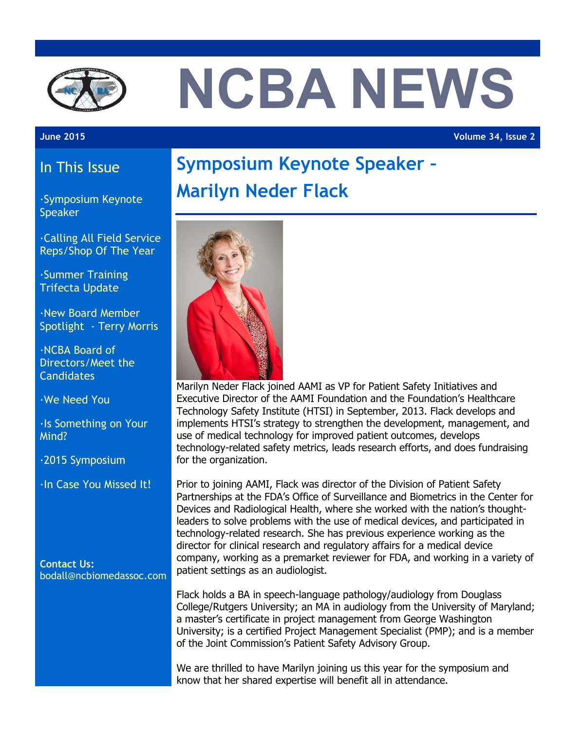

# **NCBA NEWS**

**June 2015 Volume 34, Issue 2**

### In This Issue

·Symposium Keynote Speaker

·Calling All Field Service Reps/Shop Of The Year

·Summer Training Trifecta Update

·New Board Member Spotlight - Terry Morris

·NCBA Board of Directors/Meet the **Candidates** 

·We Need You

·Is Something on Your Mind?

·2015 Symposium

·In Case You Missed It!

**Contact Us:** bodall@ncbiomedassoc.com

## **Symposium Keynote Speaker – Marilyn Neder Flack**



Marilyn Neder Flack joined AAMI as VP for Patient Safety Initiatives and Executive Director of the AAMI Foundation and the Foundation's Healthcare Technology Safety Institute (HTSI) in September, 2013. Flack develops and implements HTSI's strategy to strengthen the development, management, and use of medical technology for improved patient outcomes, develops technology-related safety metrics, leads research efforts, and does fundraising for the organization.

Prior to joining AAMI, Flack was director of the Division of Patient Safety Partnerships at the FDA's Office of Surveillance and Biometrics in the Center for Devices and Radiological Health, where she worked with the nation's thoughtleaders to solve problems with the use of medical devices, and participated in technology-related research. She has previous experience working as the director for clinical research and regulatory affairs for a medical device company, working as a premarket reviewer for FDA, and working in a variety of patient settings as an audiologist.

Flack holds a BA in speech-language pathology/audiology from Douglass College/Rutgers University; an MA in audiology from the University of Maryland; a master's certificate in project management from George Washington University; is a certified Project Management Specialist (PMP); and is a member of the Joint Commission's Patient Safety Advisory Group.

We are thrilled to have Marilyn joining us this year for the symposium and know that her shared expertise will benefit all in attendance.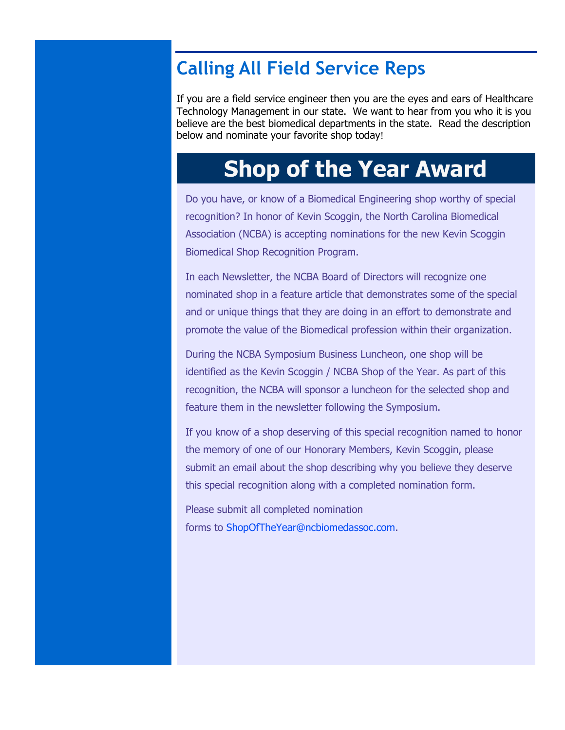## **Calling All Field Service Reps**

If you are a field service engineer then you are the eyes and ears of Healthcare Technology Management in our state. We want to hear from you who it is you believe are the best biomedical departments in the state. Read the description below and nominate your favorite shop today!

## **Shop of the Year Award**

Do you have, or know of a Biomedical Engineering shop worthy of special recognition? In honor of Kevin Scoggin, the North Carolina Biomedical Association (NCBA) is accepting nominations for the new Kevin Scoggin Biomedical Shop Recognition Program.

In each Newsletter, the NCBA Board of Directors will recognize one nominated shop in a feature article that demonstrates some of the special and or unique things that they are doing in an effort to demonstrate and promote the value of the Biomedical profession within their organization.

During the NCBA Symposium Business Luncheon, one shop will be identified as the Kevin Scoggin / NCBA Shop of the Year. As part of this recognition, the NCBA will sponsor a luncheon for the selected shop and feature them in the newsletter following the Symposium.

If you know of a shop deserving of this special recognition named to honor the memory of one of our Honorary Members, Kevin Scoggin, please submit an email about the shop describing why you believe they deserve this special recognition along with a completed nomination form.

Please submit all completed nomination forms to [ShopOfTheYear@ncbiomedassoc.com.](mailto:shopoftheyear@ncbiomedassoc.com)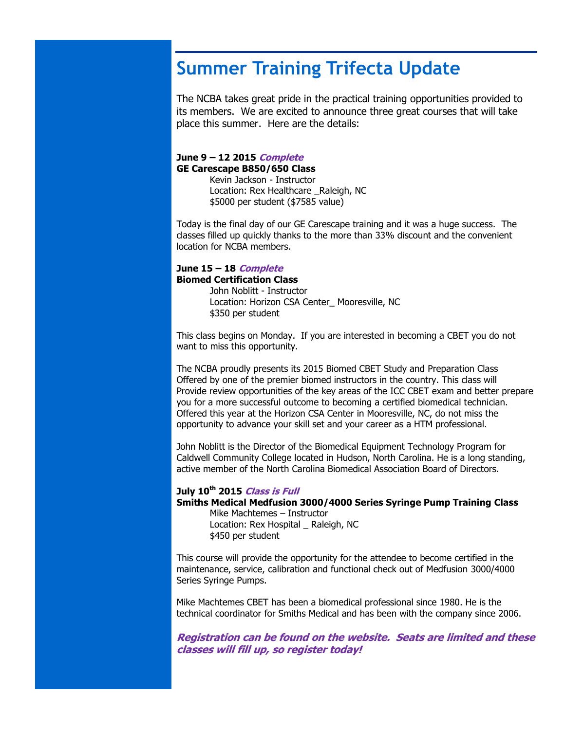## **Summer Training Trifecta Update**

The NCBA takes great pride in the practical training opportunities provided to its members. We are excited to announce three great courses that will take place this summer. Here are the details:

#### **June 9 – 12 2015 Complete GE Carescape B850/650 Class**

Kevin Jackson - Instructor Location: Rex Healthcare Raleigh, NC \$5000 per student (\$7585 value)

Today is the final day of our GE Carescape training and it was a huge success. The classes filled up quickly thanks to the more than 33% discount and the convenient location for NCBA members.

#### **June 15 – 18 Complete Biomed Certification Class**

John Noblitt - Instructor Location: Horizon CSA Center\_ Mooresville, NC \$350 per student

This class begins on Monday. If you are interested in becoming a CBET you do not want to miss this opportunity.

The NCBA proudly presents its 2015 Biomed CBET Study and Preparation Class Offered by one of the premier biomed instructors in the country. This class will Provide review opportunities of the key areas of the ICC CBET exam and better prepare you for a more successful outcome to becoming a certified biomedical technician. Offered this year at the Horizon CSA Center in Mooresville, NC, do not miss the opportunity to advance your skill set and your career as a HTM professional.

John Noblitt is the Director of the Biomedical Equipment Technology Program for Caldwell Community College located in Hudson, North Carolina. He is a long standing, active member of the North Carolina Biomedical Association Board of Directors.

#### **July 10th 2015 Class is Full**

#### **Smiths Medical Medfusion 3000/4000 Series Syringe Pump Training Class**

Mike Machtemes – Instructor Location: Rex Hospital Raleigh, NC \$450 per student

This course will provide the opportunity for the attendee to become certified in the maintenance, service, calibration and functional check out of Medfusion 3000/4000 Series Syringe Pumps.

Mike Machtemes CBET has been a biomedical professional since 1980. He is the technical coordinator for Smiths Medical and has been with the company since 2006.

**Registration can be found on the website. Seats are limited and these classes will fill up, so register today!**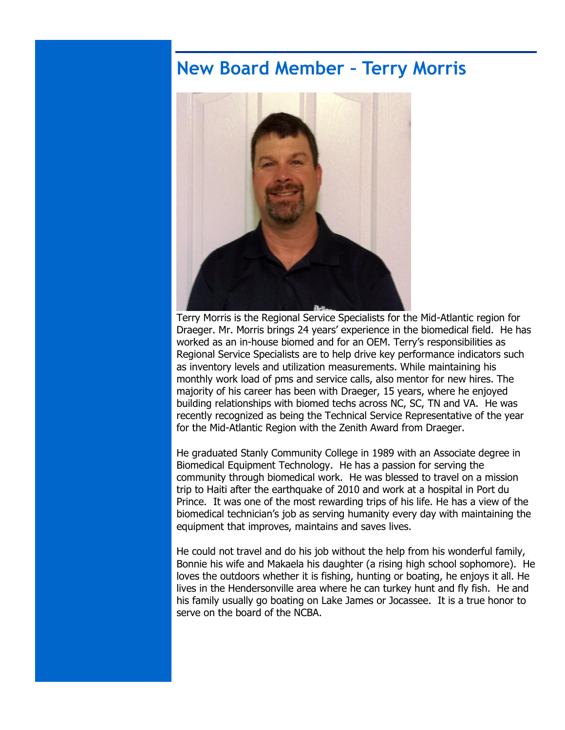## **New Board Member – Terry Morris**



Terry Morris is the Regional Service Specialists for the Mid-Atlantic region for Draeger. Mr. Morris brings 24 years' experience in the biomedical field. He has worked as an in-house biomed and for an OEM. Terry's responsibilities as Regional Service Specialists are to help drive key performance indicators such as inventory levels and utilization measurements. While maintaining his monthly work load of pms and service calls, also mentor for new hires. The majority of his career has been with Draeger, 15 years, where he enjoyed building relationships with biomed techs across NC, SC, TN and VA. He was recently recognized as being the Technical Service Representative of the year for the Mid-Atlantic Region with the Zenith Award from Draeger.

He graduated Stanly Community College in 1989 with an Associate degree in Biomedical Equipment Technology. He has a passion for serving the community through biomedical work. He was blessed to travel on a mission trip to Haiti after the earthquake of 2010 and work at a hospital in Port du Prince. It was one of the most rewarding trips of his life. He has a view of the biomedical technician's job as serving humanity every day with maintaining the equipment that improves, maintains and saves lives.

He could not travel and do his job without the help from his wonderful family, Bonnie his wife and Makaela his daughter (a rising high school sophomore). He loves the outdoors whether it is fishing, hunting or boating, he enjoys it all. He lives in the Hendersonville area where he can turkey hunt and fly fish. He and his family usually go boating on Lake James or Jocassee. It is a true honor to serve on the board of the NCBA.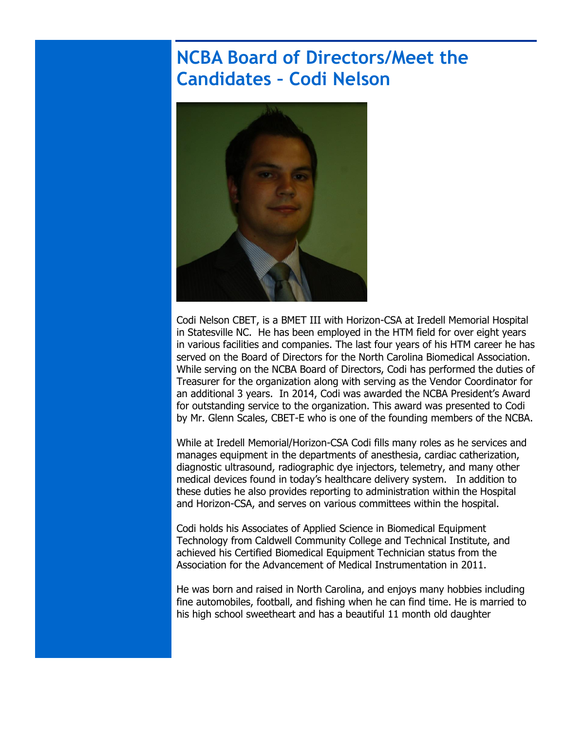## **NCBA Board of Directors/Meet the Candidates – Codi Nelson**



Codi Nelson CBET, is a BMET III with Horizon-CSA at Iredell Memorial Hospital in Statesville NC. He has been employed in the HTM field for over eight years in various facilities and companies. The last four years of his HTM career he has served on the Board of Directors for the North Carolina Biomedical Association. While serving on the NCBA Board of Directors, Codi has performed the duties of Treasurer for the organization along with serving as the Vendor Coordinator for an additional 3 years. In 2014, Codi was awarded the NCBA President's Award for outstanding service to the organization. This award was presented to Codi by Mr. Glenn Scales, CBET-E who is one of the founding members of the NCBA.

While at Iredell Memorial/Horizon-CSA Codi fills many roles as he services and manages equipment in the departments of anesthesia, cardiac catherization, diagnostic ultrasound, radiographic dye injectors, telemetry, and many other medical devices found in today's healthcare delivery system. In addition to these duties he also provides reporting to administration within the Hospital and Horizon-CSA, and serves on various committees within the hospital.

Codi holds his Associates of Applied Science in Biomedical Equipment Technology from Caldwell Community College and Technical Institute, and achieved his Certified Biomedical Equipment Technician status from the Association for the Advancement of Medical Instrumentation in 2011.

He was born and raised in North Carolina, and enjoys many hobbies including fine automobiles, football, and fishing when he can find time. He is married to his high school sweetheart and has a beautiful 11 month old daughter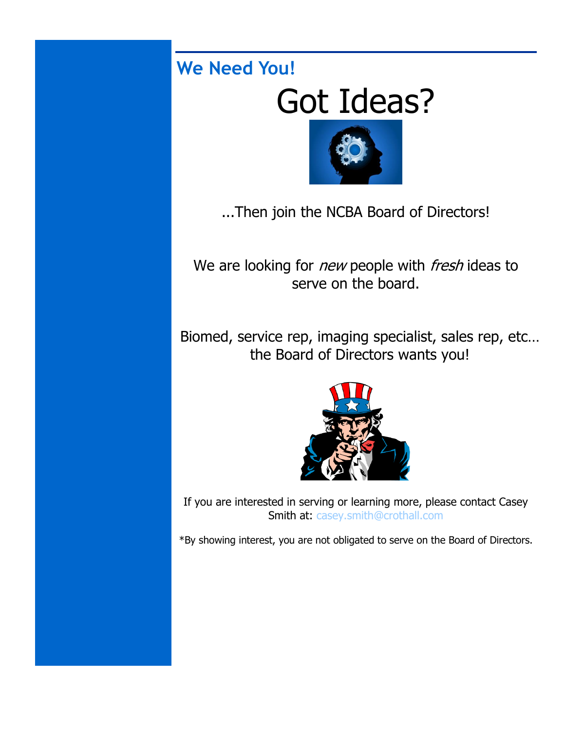## **We Need You!**

## Got Ideas?



...Then join the NCBA Board of Directors!

We are looking for *new* people with *fresh* ideas to serve on the board.

Biomed, service rep, imaging specialist, sales rep, etc… the Board of Directors wants you!



If you are interested in serving or learning more, please contact Casey Smith at: [casey.smith@crothall.com](mailto:casey.smith@crothall.com)

\*By showing interest, you are not obligated to serve on the Board of Directors.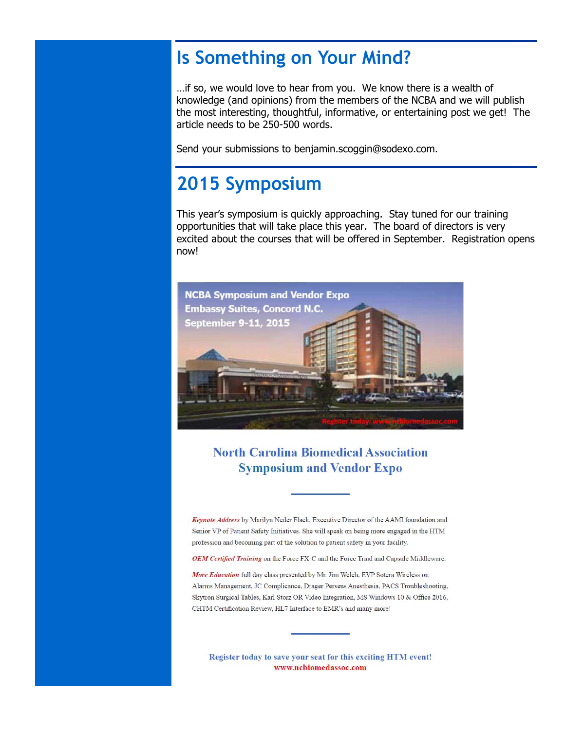## **Is Something on Your Mind?**

…if so, we would love to hear from you. We know there is a wealth of knowledge (and opinions) from the members of the NCBA and we will publish the most interesting, thoughtful, informative, or entertaining post we get! The article needs to be 250-500 words.

Send your submissions to benjamin.scoggin@sodexo.com.

## **2015 Symposium**

This year's symposium is quickly approaching. Stay tuned for our training opportunities that will take place this year. The board of directors is very excited about the courses that will be offered in September. Registration opens now!



**North Carolina Biomedical Association Symposium and Vendor Expo** 

Keynote Address by Marilyn Neder Flack, Executive Director of the AAMI foundation and Senior VP of Patient Safety Initiatives. She will speak on being more engaged in the HTM profession and becoming part of the solution to patient safety in your facility.

OEM Certified Training on the Force FX-C and the Force Triad and Capsule Middleware.

More Education full day class presented by Mr. Jim Welch, EVP Sotera Wireless on Alarms Management, JC Complicance, Drager Perseus Anesthesia, PACS Troubleshooting, Skytron Surgical Tables, Karl Storz OR Video Integration, MS Windows 10 & Office 2016, CHTM Certification Review, HL7 Interface to EMR's and many more!

Register today to save your seat for this exciting HTM event! www.ncbiomedassoc.com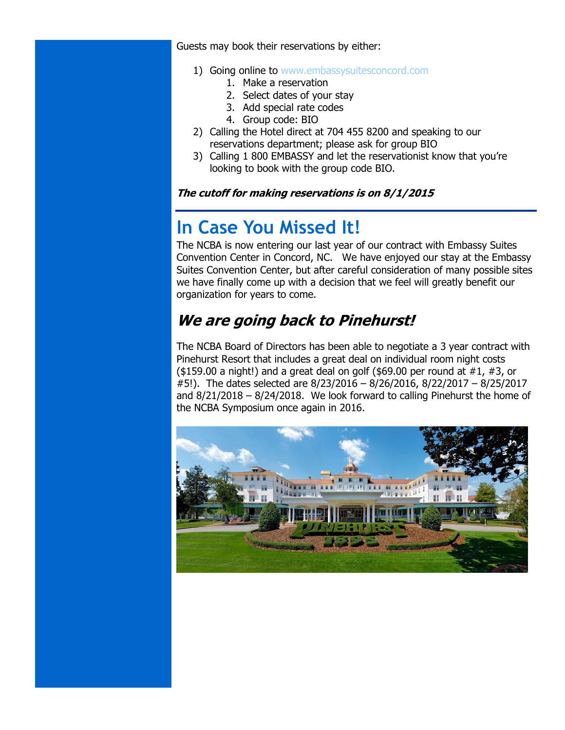Guests may book their reservations by either:

- 1) Going online to [www.embassysuitesconcord.com](http://www.embassysuitesconcord.com/)
	- 1. Make a reservation
	- 2. Select dates of your stay
	- 3. Add special rate codes
	- 4. Group code: BIO
- 2) Calling the Hotel direct at 704 455 8200 and speaking to our reservations department; please ask for group BIO
- 3) Calling 1 800 EMBASSY and let the reservationist know that you're looking to book with the group code BIO.

#### **The cutoff for making reservations is on 8/1/2015**

## **In Case You Missed It!**

The NCBA is now entering our last year of our contract with Embassy Suites Convention Center in Concord, NC. We have enjoyed our stay at the Embassy Suites Convention Center, but after careful consideration of many possible sites we have finally come up with a decision that we feel will greatly benefit our organization for years to come.

## **We are going back to Pinehurst!**

The NCBA Board of Directors has been able to negotiate a 3 year contract with Pinehurst Resort that includes a great deal on individual room night costs  $($159.00 a night!)$  and a great deal on golf  $($69.00 per round at #1, #3, or$ #5!). The dates selected are 8/23/2016 – 8/26/2016, 8/22/2017 – 8/25/2017 and 8/21/2018 – 8/24/2018. We look forward to calling Pinehurst the home of the NCBA Symposium once again in 2016.

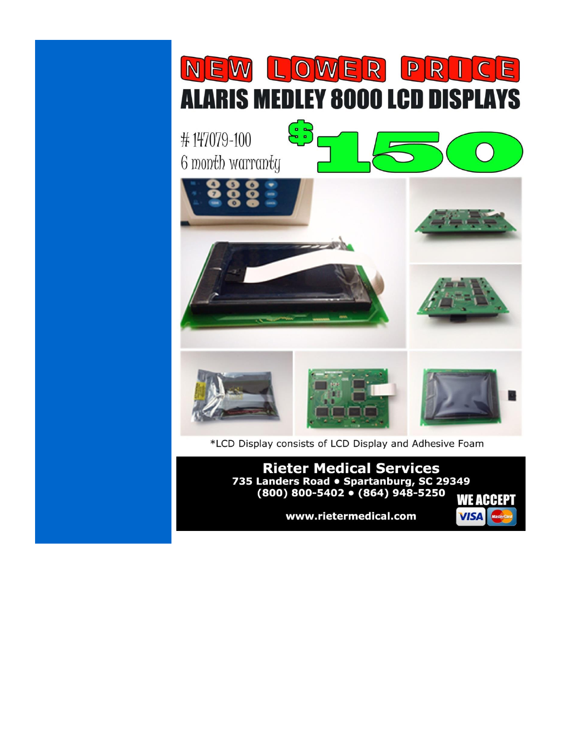

www.rietermedical.com

**VISA**